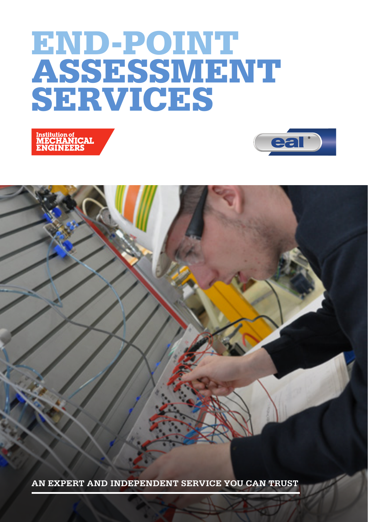# END-POINT ASSESSMENT SERVICES





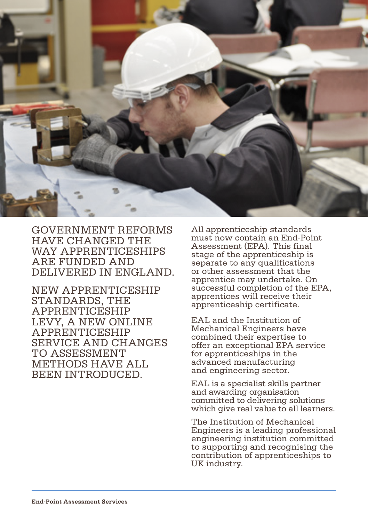

GOVERNMENT REFORMS HAVE CHANGED THE WAY APPRENTICESHIPS ARE FUNDED AND DELIVERED IN ENGLAND.

NEW APPRENTICESHIP STANDARDS, THE APPRENTICESHIP LEVY, A NEW ONLINE APPRENTICESHIP SERVICE AND CHANGES TO ASSESSMENT METHODS HAVE ALL BEEN INTRODUCED.

All apprenticeship standards must now contain an End-Point Assessment (EPA). This final stage of the apprenticeship is separate to any qualifications or other assessment that the apprentice may undertake. On successful completion of the EPA. apprentices will receive their apprenticeship certificate.

EAL and the Institution of Mechanical Engineers have combined their expertise to offer an exceptional EPA service for apprenticeships in the advanced manufacturing and engineering sector.

EAL is a specialist skills partner and awarding organisation committed to delivering solutions which give real value to all learners.

The Institution of Mechanical Engineers is a leading professional engineering institution committed to supporting and recognising the contribution of apprenticeships to UK industry.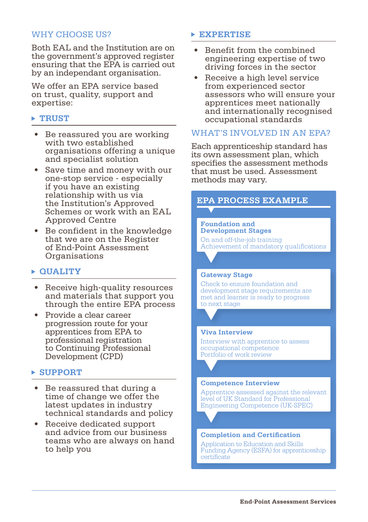# WHY CHOOSE US?

Both EAL and the Institution are on the government's approved register ensuring that the EPA is carried out by an independant organisation.

We offer an EPA service based on trust, quality, support and expertise:

# **TRUST**

- • Be reassured you are working with two established organisations offering a unique and specialist solution
- Save time and money with our one-stop service - especially if you have an existing relationship with us via the Institution's Approved Schemes or work with an **EAL** Approved Centre
- • Be confident in the knowledge that we are on the Register of End-Point Assessment Organisations

# **QUALITY**

- Receive high-quality resources and materials that support you through the entire EPA process
- • Provide a clear career progression route for your apprentices from EPA to professional registration to Continuing Professional Development (CPD)

# **SUPPORT**

- • Be reassured that during a time of change we offer the latest updates in industry technical standards and policy
- • Receive dedicated support and advice from our business teams who are always on hand to help you

## **EXPERTISE**

- • Benefit from the combined engineering expertise of two driving forces in the sector
- Receive a high level service from experienced sector assessors who will ensure your apprentices meet nationally and internationally recognised occupational standards

## WHAT'S INVOLVED IN AN EPA?

Each apprenticeship standard has its own assessment plan, which specifies the assessment methods that must be used. Assessment methods may vary.

# **EPA PROCESS EXAMPLE**

**Foundation and Development Stages**

On and off-the-job training Achievement of mandatory qualifications

#### **Gateway Stage**

Check to ensure foundation and development stage requirements are met and learner is ready to progress to next stage

#### **Viva Interview**

Interview with apprentice to assess occupational competence Portfolio of work review

#### **Competence Interview**

Apprentice assessed against the relevant level of UK Standard for Professional Engineering Competence (UK-SPEC)

#### **Completion and Certification**

Application to Education and Skills Funding Agency (ESFA) for apprenticeship certificate